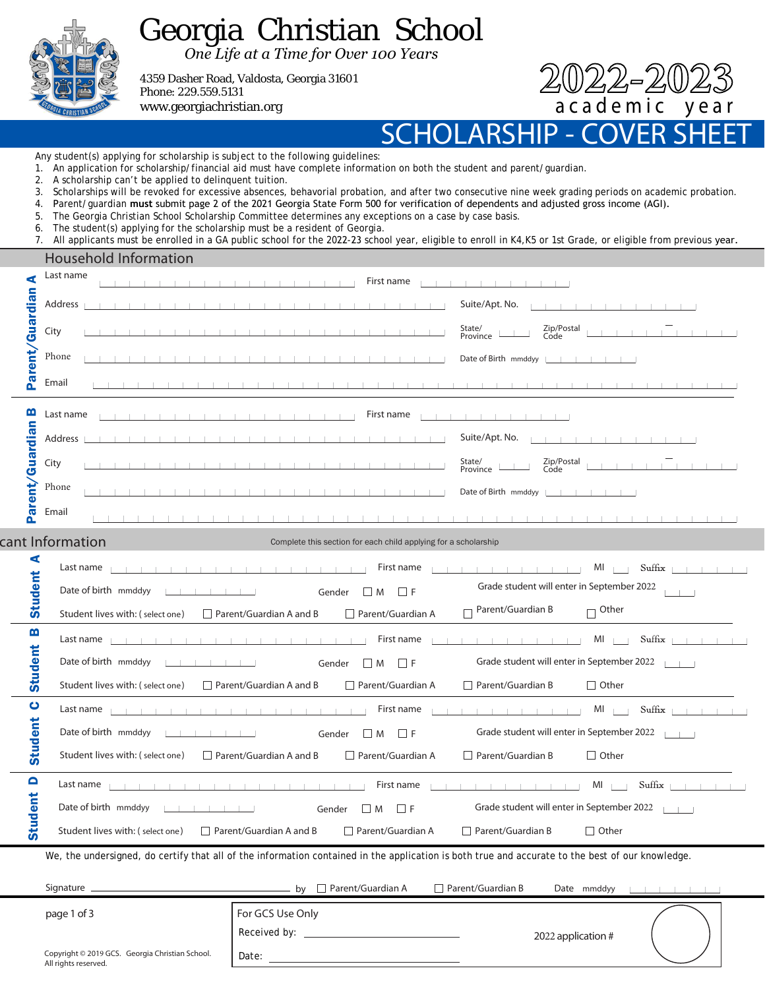

## Georgia Christian School

*One Life at a Time for Over 100 Years*

4359 Dasher Road, Valdosta, Georgia 31601 Phone: 229.559.5131 www.georgiachristian.org

2022-2023<br>academic vear

SCHOLARSHIP - COVER SHEET

Any student(s) applying for scholarship is subject to the following guidelines:

- 1. An application for scholarship/financial aid must have complete information on both the student and parent/guardian.
- 2. A scholarship can't be applied to delinquent tuition.
- 3. Scholarships will be revoked for excessive absences, behavorial probation, and after two consecutive nine week grading periods on academic probation.
- 4. Parent/guardian **must** submit page 2 of the 2021 Georgia State Form 500 for verification of dependents and adjusted gross income (AGI).
- 5. The Georgia Christian School Scholarship Committee determines any exceptions on a case by case basis.
- 6. The student(s) applying for the scholarship must be a resident of Georgia.
- 7. All applicants must be enrolled in a GA public school for the 2022-23 school year, eligible to enroll in K4,K5 or 1st Grade, or eligible from previous year.

|                   | Household Information                                                   |                                                                 |                                                                                                                                                  |  |
|-------------------|-------------------------------------------------------------------------|-----------------------------------------------------------------|--------------------------------------------------------------------------------------------------------------------------------------------------|--|
| ⋖                 | Last name                                                               | First name                                                      |                                                                                                                                                  |  |
|                   | Address                                                                 |                                                                 | Suite/Apt. No.<br>the contract of the contract of the                                                                                            |  |
| Parent/Guardian   | City                                                                    |                                                                 | Zip/Postal<br>Code<br>State/<br>Province                                                                                                         |  |
|                   | Phone                                                                   |                                                                 | Date of Birth mmddyy [16]                                                                                                                        |  |
|                   | Email                                                                   |                                                                 | .                                                                                                                                                |  |
| m                 | Last name                                                               | First name                                                      | <b>Contract Contract Contract Contract</b>                                                                                                       |  |
|                   | Address                                                                 |                                                                 | Suite/Apt. No.<br>the control of the con-                                                                                                        |  |
|                   | City                                                                    |                                                                 | Zip/Postal<br>Code<br>State/<br>Province                                                                                                         |  |
| Parent/Guardian   | Phone                                                                   |                                                                 | Date of Birth mmddyy                                                                                                                             |  |
|                   | Email                                                                   |                                                                 |                                                                                                                                                  |  |
|                   | cant Information                                                        | Complete this section for each child applying for a scholarship |                                                                                                                                                  |  |
| ⋖                 | Last name                                                               | First name<br>the contract of the contract of                   | Suffix<br>$MI$                                                                                                                                   |  |
| <b>Student</b>    | Date of birth mmddyy<br>.                                               | $\Box$ M<br>$\Box$ F<br>Gender                                  | Grade student will enter in September 2022                                                                                                       |  |
|                   | Student lives with: (select one)                                        | Parent/Guardian A<br>$\Box$ Parent/Guardian A and B             | Parent/Guardian B<br><sub>l</sub> Other                                                                                                          |  |
| $\mathbf{m}$      | Last name                                                               | First name                                                      | $MI$  <br>Suffix                                                                                                                                 |  |
| Student           | Date of birth mmddyy                                                    | $\Box$<br>$\Box F$<br>Gender<br>M                               | Grade student will enter in September 2022                                                                                                       |  |
|                   | Student lives with: (select one)                                        | Parent/Guardian A<br>$\Box$ Parent/Guardian A and B             | $\Box$ Parent/Guardian B<br>$\Box$ Other                                                                                                         |  |
| $\bullet$         |                                                                         | First name<br>the contract of the contract of                   | $MI$ $\Box$<br>$\text{Suffix}$ $\vert \ \vert \ \vert \ \vert \ \vert$                                                                           |  |
| Student           |                                                                         | $\Box$<br>$\Box F$<br>Gender<br>M                               | Grade student will enter in September 2022                                                                                                       |  |
|                   | Student lives with: (select one)                                        | $\Box$ Parent/Guardian A and B<br>Parent/Guardian A             | $\Box$ Parent/Guardian B<br>$\Box$ Other                                                                                                         |  |
| $\mathbf{\Omega}$ |                                                                         | First name<br>the contract of the con-                          | $Suffix + + +$<br>$MI$    <br><b>The Committee of the Committee Committee Committee Committee Committee Committee</b>                            |  |
| <b>Student</b>    | Date of birth mmddyy                                                    | Gender $\Box$ M $\Box$ F                                        | Grade student will enter in September 2022                                                                                                       |  |
|                   | Student lives with: (select one)                                        | $\Box$ Parent/Guardian A and B<br>Parent/Guardian A             | $\Box$ Parent/Guardian B<br>$\Box$ Other                                                                                                         |  |
|                   |                                                                         |                                                                 | We, the undersigned, do certify that all of the information contained in the application is both true and accurate to the best of our knowledge. |  |
|                   |                                                                         |                                                                 | $\Box$ Parent/Guardian B<br>Date mmddyy $\Box$                                                                                                   |  |
|                   | page 1 of 3                                                             | For GCS Use Only                                                |                                                                                                                                                  |  |
|                   |                                                                         |                                                                 | 2022 application #                                                                                                                               |  |
|                   | Copyright © 2019 GCS. Georgia Christian School.<br>All rights reserved. | Date: $\overline{\qquad \qquad }$                               |                                                                                                                                                  |  |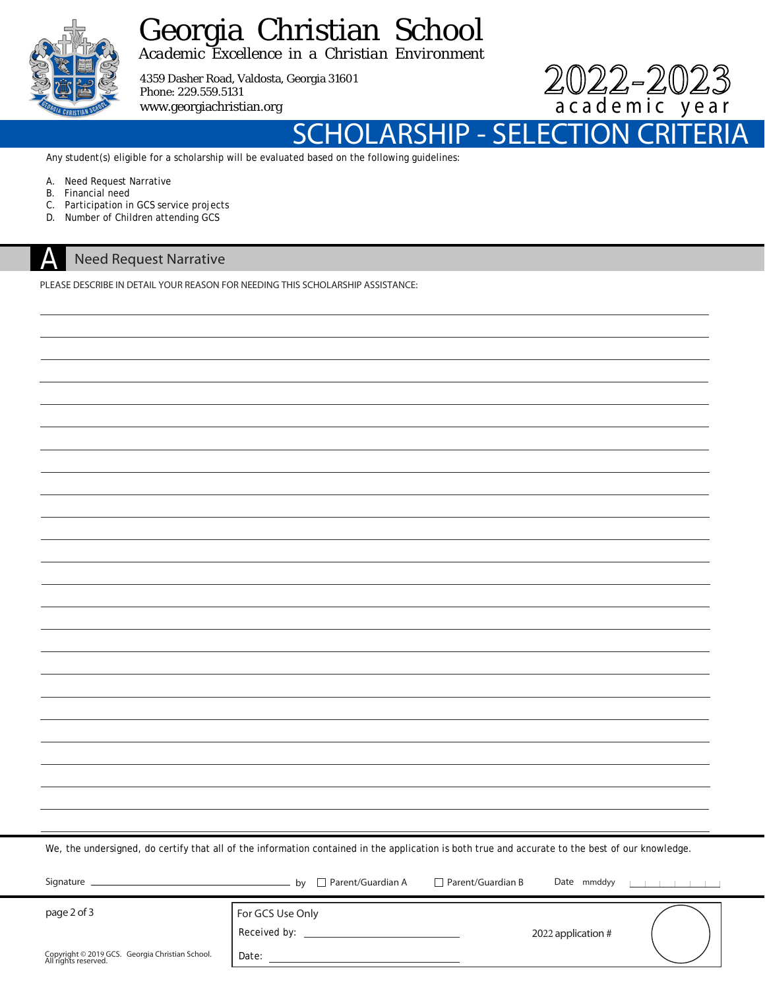

## Georgia Christian School

*Academic Excellence in a Christian Environment*

4359 Dasher Road, Valdosta, Georgia 31601 Phone: 229.559.5131 www.georgiachristian.org



SCHOLARSHIP - SELECTIO

Any student(s) eligible for a scholarship will be evaluated based on the following guidelines:

- A. Need Request Narrative
- B. Financial need<br>C. Participation in
- Participation in GCS service projects
- D. Number of Children attending GCS

## **Need Request Narrative** A

PLEASE DESCRIBE IN DETAIL YOUR REASON FOR NEEDING THIS SCHOLARSHIP ASSISTANCE:

|  |  |  | We, the undersigned, do certify that all of the information contained in the application is both true and accurate to the best of our knowledge. |
|--|--|--|--------------------------------------------------------------------------------------------------------------------------------------------------|
|  |  |  |                                                                                                                                                  |

| Signature                                                               | $\Box$ Parent/Guardian A<br>hv   | Parent/Guardian B | Date mmddyy        | . |
|-------------------------------------------------------------------------|----------------------------------|-------------------|--------------------|---|
| page 2 of 3                                                             | For GCS Use Only<br>Received by: |                   | 2022 application # |   |
| Copyright © 2019 GCS. Georgia Christian School.<br>All rights reserved. | Date:                            |                   |                    |   |